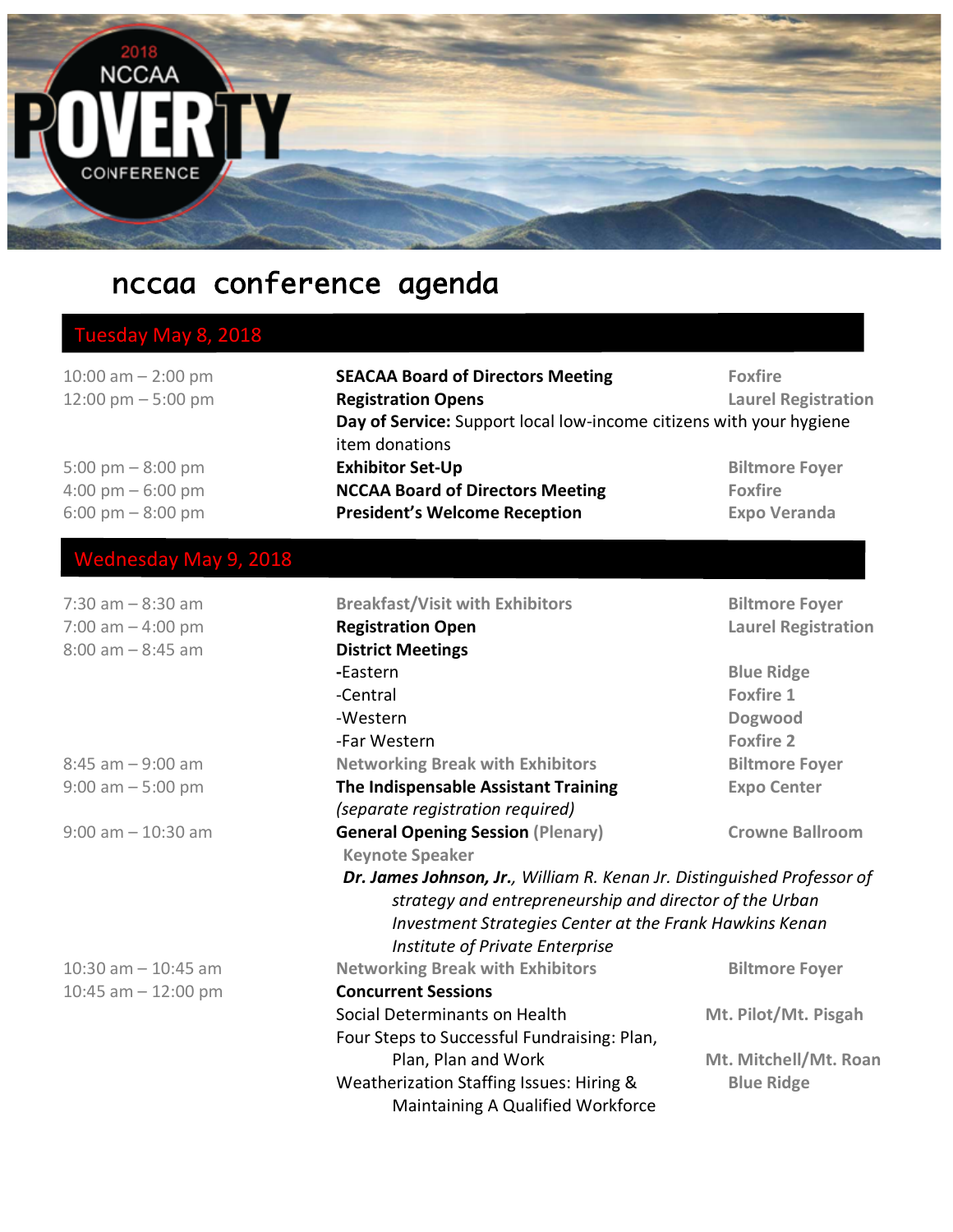

## nccaa conference agenda

## Tuesday May 8, 2018

| 10:00 am $-$ 2:00 pm<br>12:00 pm $-5:00$ pm | <b>SEACAA Board of Directors Meeting</b><br><b>Registration Opens</b><br>Day of Service: Support local low-income citizens with your hygiene<br>item donations | <b>Foxfire</b><br><b>Laurel Registration</b> |
|---------------------------------------------|----------------------------------------------------------------------------------------------------------------------------------------------------------------|----------------------------------------------|
| 5:00 pm $-$ 8:00 pm                         | <b>Exhibitor Set-Up</b>                                                                                                                                        | <b>Biltmore Foyer</b>                        |
| $4:00 \text{ pm} - 6:00 \text{ pm}$         | <b>NCCAA Board of Directors Meeting</b>                                                                                                                        | <b>Foxfire</b>                               |
| $6:00 \text{ pm} - 8:00 \text{ pm}$         | <b>President's Welcome Reception</b>                                                                                                                           | <b>Expo Veranda</b>                          |

## Wednesday May 9, 2018

| $7:30$ am $-8:30$ am  | <b>Breakfast/Visit with Exhibitors</b>                                                     | <b>Biltmore Foyer</b>      |
|-----------------------|--------------------------------------------------------------------------------------------|----------------------------|
| 7:00 am $-$ 4:00 pm   | <b>Registration Open</b>                                                                   | <b>Laurel Registration</b> |
| $8:00$ am $-8:45$ am  | <b>District Meetings</b>                                                                   |                            |
|                       | -Eastern                                                                                   | <b>Blue Ridge</b>          |
|                       | -Central                                                                                   | <b>Foxfire 1</b>           |
|                       | -Western                                                                                   | Dogwood                    |
|                       | -Far Western                                                                               | <b>Foxfire 2</b>           |
| $8:45$ am $-9:00$ am  | <b>Networking Break with Exhibitors</b>                                                    | <b>Biltmore Foyer</b>      |
| $9:00$ am $-5:00$ pm  | The Indispensable Assistant Training                                                       | <b>Expo Center</b>         |
|                       | (separate registration required)                                                           |                            |
| $9:00$ am $-10:30$ am | <b>General Opening Session (Plenary)</b>                                                   | <b>Crowne Ballroom</b>     |
|                       | <b>Keynote Speaker</b>                                                                     |                            |
|                       | Dr. James Johnson, Jr., William R. Kenan Jr. Distinguished Professor of                    |                            |
|                       | strategy and entrepreneurship and director of the Urban                                    |                            |
|                       | Investment Strategies Center at the Frank Hawkins Kenan<br>Institute of Private Enterprise |                            |
| 10:30 am $-$ 10:45 am | <b>Networking Break with Exhibitors</b>                                                    | <b>Biltmore Foyer</b>      |
| 10:45 am $-$ 12:00 pm | <b>Concurrent Sessions</b>                                                                 |                            |
|                       | Social Determinants on Health                                                              | Mt. Pilot/Mt. Pisgah       |
|                       | Four Steps to Successful Fundraising: Plan,                                                |                            |
|                       | Plan, Plan and Work                                                                        | Mt. Mitchell/Mt. Roan      |
|                       | Weatherization Staffing Issues: Hiring &                                                   | <b>Blue Ridge</b>          |
|                       | Maintaining A Qualified Workforce                                                          |                            |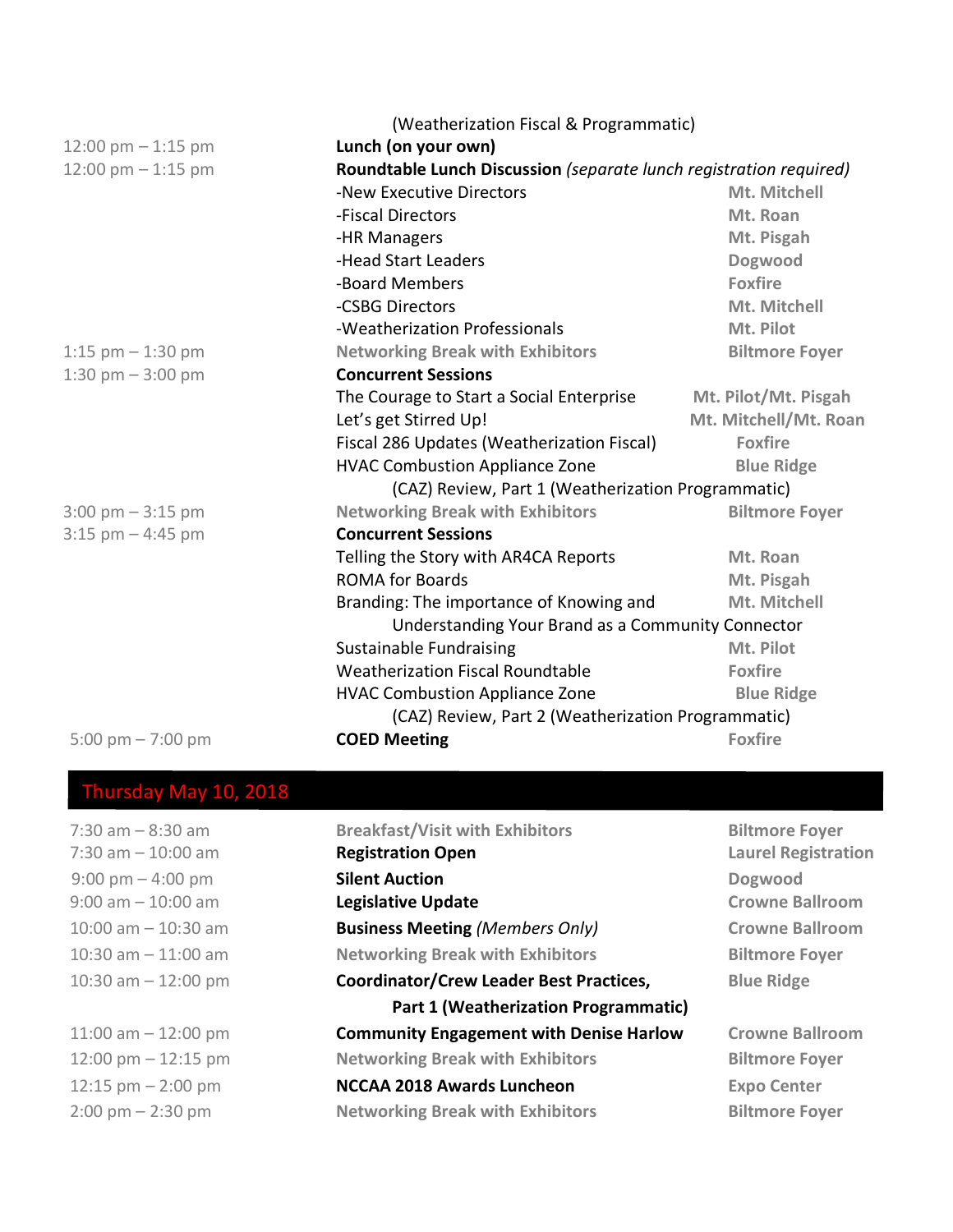|                                     | (Weatherization Fiscal & Programmatic)                             |                       |  |
|-------------------------------------|--------------------------------------------------------------------|-----------------------|--|
| 12:00 pm $-$ 1:15 pm                | Lunch (on your own)                                                |                       |  |
| 12:00 pm $-$ 1:15 pm                | Roundtable Lunch Discussion (separate lunch registration required) |                       |  |
|                                     | -New Executive Directors                                           | Mt. Mitchell          |  |
|                                     | -Fiscal Directors                                                  | Mt. Roan              |  |
|                                     | -HR Managers                                                       | Mt. Pisgah            |  |
|                                     | -Head Start Leaders                                                | Dogwood               |  |
|                                     | -Board Members                                                     | <b>Foxfire</b>        |  |
|                                     | -CSBG Directors                                                    | Mt. Mitchell          |  |
|                                     | -Weatherization Professionals                                      | Mt. Pilot             |  |
| 1:15 $pm - 1:30$ pm                 | <b>Networking Break with Exhibitors</b>                            | <b>Biltmore Foyer</b> |  |
| 1:30 pm $-$ 3:00 pm                 | <b>Concurrent Sessions</b>                                         |                       |  |
|                                     | The Courage to Start a Social Enterprise                           | Mt. Pilot/Mt. Pisgah  |  |
|                                     | Let's get Stirred Up!                                              | Mt. Mitchell/Mt. Roan |  |
|                                     | Fiscal 286 Updates (Weatherization Fiscal)                         | <b>Foxfire</b>        |  |
|                                     | <b>HVAC Combustion Appliance Zone</b>                              | <b>Blue Ridge</b>     |  |
|                                     | (CAZ) Review, Part 1 (Weatherization Programmatic)                 |                       |  |
| $3:00 \text{ pm} - 3:15 \text{ pm}$ | <b>Networking Break with Exhibitors</b>                            | <b>Biltmore Foyer</b> |  |
| $3:15$ pm $-4:45$ pm                | <b>Concurrent Sessions</b>                                         |                       |  |
|                                     | Telling the Story with AR4CA Reports                               | Mt. Roan              |  |
|                                     | <b>ROMA for Boards</b>                                             | Mt. Pisgah            |  |
|                                     | Branding: The importance of Knowing and                            | Mt. Mitchell          |  |
|                                     | Understanding Your Brand as a Community Connector                  |                       |  |
|                                     | <b>Sustainable Fundraising</b>                                     | Mt. Pilot             |  |
|                                     | <b>Weatherization Fiscal Roundtable</b>                            | <b>Foxfire</b>        |  |
|                                     | <b>HVAC Combustion Appliance Zone</b>                              | <b>Blue Ridge</b>     |  |
|                                     | (CAZ) Review, Part 2 (Weatherization Programmatic)                 |                       |  |
| 5:00 pm $- 7:00$ pm                 | <b>COED Meeting</b>                                                | <b>Foxfire</b>        |  |

## Thursday May 10, 2018

| $7:30$ am $-8:30$ am<br>$7:30$ am $-10:00$ am                | <b>Breakfast/Visit with Exhibitors</b><br><b>Registration Open</b> | <b>Biltmore Foyer</b><br><b>Laurel Registration</b> |
|--------------------------------------------------------------|--------------------------------------------------------------------|-----------------------------------------------------|
| $9:00 \text{ pm} - 4:00 \text{ pm}$<br>$9:00$ am $-10:00$ am | <b>Silent Auction</b><br><b>Legislative Update</b>                 | <b>Dogwood</b><br><b>Crowne Ballroom</b>            |
| $10:00$ am $-10:30$ am                                       | <b>Business Meeting (Members Only)</b>                             | <b>Crowne Ballroom</b>                              |
| $10:30$ am $-11:00$ am                                       | <b>Networking Break with Exhibitors</b>                            | <b>Biltmore Foyer</b>                               |
| 10:30 am $-$ 12:00 pm                                        | Coordinator/Crew Leader Best Practices,                            | <b>Blue Ridge</b>                                   |
|                                                              | <b>Part 1 (Weatherization Programmatic)</b>                        |                                                     |
| 11:00 am $-$ 12:00 pm                                        | <b>Community Engagement with Denise Harlow</b>                     | <b>Crowne Ballroom</b>                              |
| 12:00 pm $-$ 12:15 pm                                        | <b>Networking Break with Exhibitors</b>                            | <b>Biltmore Foyer</b>                               |
| 12:15 $pm - 2:00$ pm                                         | <b>NCCAA 2018 Awards Luncheon</b>                                  | <b>Expo Center</b>                                  |
| $2:00 \text{ pm} - 2:30 \text{ pm}$                          | <b>Networking Break with Exhibitors</b>                            | <b>Biltmore Foyer</b>                               |